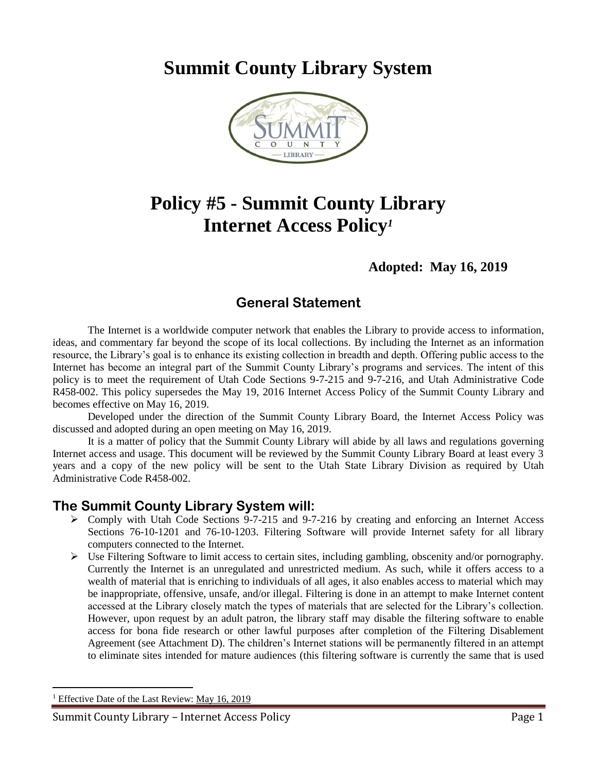**Summit County Library System** 



## **Policy #5 - Summit County Library Internet Access Policy***<sup>1</sup>*

### **Adopted: May 16, 2019**

## **General Statement**

The Internet is a worldwide computer network that enables the Library to provide access to information, ideas, and commentary far beyond the scope of its local collections. By including the Internet as an information resource, the Library's goal is to enhance its existing collection in breadth and depth. Offering public access to the Internet has become an integral part of the Summit County Library's programs and services. The intent of this policy is to meet the requirement of Utah Code Sections 9-7-215 and 9-7-216, and Utah Administrative Code R458-002. This policy supersedes the May 19, 2016 Internet Access Policy of the Summit County Library and becomes effective on May 16, 2019.

Developed under the direction of the Summit County Library Board, the Internet Access Policy was discussed and adopted during an open meeting on May 16, 2019.

It is a matter of policy that the Summit County Library will abide by all laws and regulations governing Internet access and usage. This document will be reviewed by the Summit County Library Board at least every 3 years and a copy of the new policy will be sent to the Utah State Library Division as required by Utah Administrative Code R458-002.

### **The Summit County Library System will:**

- Comply with Utah Code Sections 9-7-215 and 9-7-216 by creating and enforcing an Internet Access Sections 76-10-1201 and 76-10-1203. Filtering Software will provide Internet safety for all library computers connected to the Internet.
- $\triangleright$  Use Filtering Software to limit access to certain sites, including gambling, obscenity and/or pornography. Currently the Internet is an unregulated and unrestricted medium. As such, while it offers access to a wealth of material that is enriching to individuals of all ages, it also enables access to material which may be inappropriate, offensive, unsafe, and/or illegal. Filtering is done in an attempt to make Internet content accessed at the Library closely match the types of materials that are selected for the Library's collection. However, upon request by an adult patron, the library staff may disable the filtering software to enable access for bona fide research or other lawful purposes after completion of the Filtering Disablement Agreement (see Attachment D). The children's Internet stations will be permanently filtered in an attempt to eliminate sites intended for mature audiences (this filtering software is currently the same that is used

 $\overline{a}$ 

Effective Date of the Last Review: May 16, 2019

Summit County Library – Internet Access Policy Page 1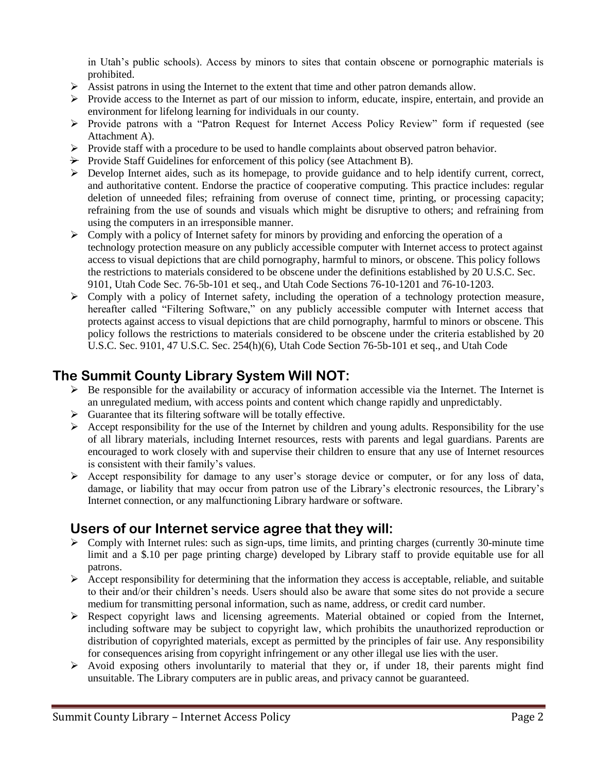in Utah's public schools). Access by minors to sites that contain obscene or pornographic materials is prohibited.

- $\triangleright$  Assist patrons in using the Internet to the extent that time and other patron demands allow.
- $\triangleright$  Provide access to the Internet as part of our mission to inform, educate, inspire, entertain, and provide an environment for lifelong learning for individuals in our county.
- Provide patrons with a "Patron Request for Internet Access Policy Review" form if requested (see Attachment A).
- $\triangleright$  Provide staff with a procedure to be used to handle complaints about observed patron behavior.
- $\rightarrow$  Provide Staff Guidelines for enforcement of this policy (see Attachment B).
- $\triangleright$  Develop Internet aides, such as its homepage, to provide guidance and to help identify current, correct, and authoritative content. Endorse the practice of cooperative computing. This practice includes: regular deletion of unneeded files; refraining from overuse of connect time, printing, or processing capacity; refraining from the use of sounds and visuals which might be disruptive to others; and refraining from using the computers in an irresponsible manner.
- $\triangleright$  Comply with a policy of Internet safety for minors by providing and enforcing the operation of a technology protection measure on any publicly accessible computer with Internet access to protect against access to visual depictions that are child pornography, harmful to minors, or obscene. This policy follows the restrictions to materials considered to be obscene under the definitions established by 20 U.S.C. Sec. 9101, Utah Code Sec. 76-5b-101 et seq., and Utah Code Sections 76-10-1201 and 76-10-1203.
- $\triangleright$  Comply with a policy of Internet safety, including the operation of a technology protection measure, hereafter called "Filtering Software," on any publicly accessible computer with Internet access that protects against access to visual depictions that are child pornography, harmful to minors or obscene. This policy follows the restrictions to materials considered to be obscene under the criteria established by 20 U.S.C. Sec. 9101, 47 U.S.C. Sec. 254(h)(6), Utah Code Section 76-5b-101 et seq., and Utah Code

## **The Summit County Library System Will NOT:**

- $\triangleright$  Be responsible for the availability or accuracy of information accessible via the Internet. The Internet is an unregulated medium, with access points and content which change rapidly and unpredictably.
- $\triangleright$  Guarantee that its filtering software will be totally effective.
- Accept responsibility for the use of the Internet by children and young adults. Responsibility for the use of all library materials, including Internet resources, rests with parents and legal guardians. Parents are encouraged to work closely with and supervise their children to ensure that any use of Internet resources is consistent with their family's values.
- Accept responsibility for damage to any user's storage device or computer, or for any loss of data, damage, or liability that may occur from patron use of the Library's electronic resources, the Library's Internet connection, or any malfunctioning Library hardware or software.

### **Users of our Internet service agree that they will:**

- $\triangleright$  Comply with Internet rules: such as sign-ups, time limits, and printing charges (currently 30-minute time limit and a \$.10 per page printing charge) developed by Library staff to provide equitable use for all patrons.
- $\triangleright$  Accept responsibility for determining that the information they access is acceptable, reliable, and suitable to their and/or their children's needs. Users should also be aware that some sites do not provide a secure medium for transmitting personal information, such as name, address, or credit card number.
- Respect copyright laws and licensing agreements. Material obtained or copied from the Internet, including software may be subject to copyright law, which prohibits the unauthorized reproduction or distribution of copyrighted materials, except as permitted by the principles of fair use. Any responsibility for consequences arising from copyright infringement or any other illegal use lies with the user.
- $\triangleright$  Avoid exposing others involuntarily to material that they or, if under 18, their parents might find unsuitable. The Library computers are in public areas, and privacy cannot be guaranteed.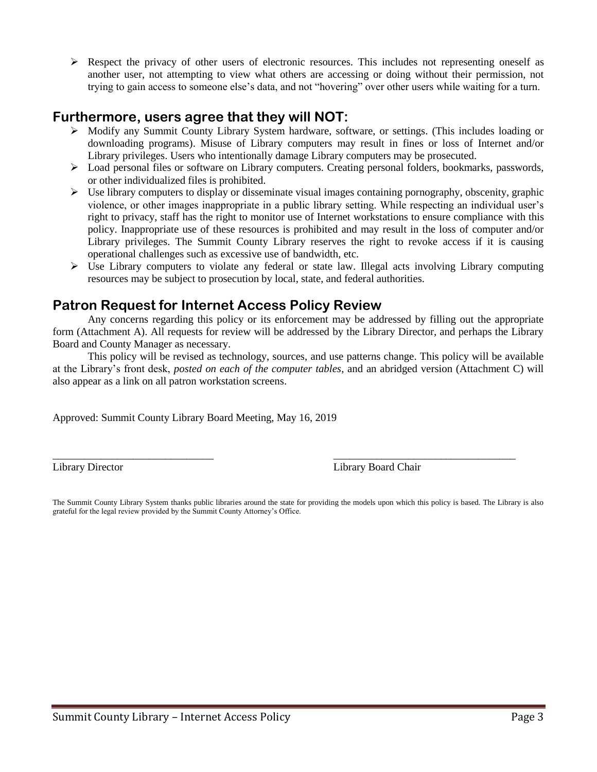$\triangleright$  Respect the privacy of other users of electronic resources. This includes not representing oneself as another user, not attempting to view what others are accessing or doing without their permission, not trying to gain access to someone else's data, and not "hovering" over other users while waiting for a turn.

### **Furthermore, users agree that they will NOT:**

- Modify any Summit County Library System hardware, software, or settings. (This includes loading or downloading programs). Misuse of Library computers may result in fines or loss of Internet and/or Library privileges. Users who intentionally damage Library computers may be prosecuted.
- Load personal files or software on Library computers. Creating personal folders, bookmarks, passwords, or other individualized files is prohibited.
- $\triangleright$  Use library computers to display or disseminate visual images containing pornography, obscenity, graphic violence, or other images inappropriate in a public library setting. While respecting an individual user's right to privacy, staff has the right to monitor use of Internet workstations to ensure compliance with this policy. Inappropriate use of these resources is prohibited and may result in the loss of computer and/or Library privileges. The Summit County Library reserves the right to revoke access if it is causing operational challenges such as excessive use of bandwidth, etc.
- $\triangleright$  Use Library computers to violate any federal or state law. Illegal acts involving Library computing resources may be subject to prosecution by local, state, and federal authorities.

## **Patron Request for Internet Access Policy Review**

Any concerns regarding this policy or its enforcement may be addressed by filling out the appropriate form (Attachment A). All requests for review will be addressed by the Library Director, and perhaps the Library Board and County Manager as necessary.

This policy will be revised as technology, sources, and use patterns change. This policy will be available at the Library's front desk, *posted on each of the computer tables*, and an abridged version (Attachment C) will also appear as a link on all patron workstation screens.

Approved: Summit County Library Board Meeting, May 16, 2019

Library Director Library Board Chair

The Summit County Library System thanks public libraries around the state for providing the models upon which this policy is based. The Library is also grateful for the legal review provided by the Summit County Attorney's Office.

\_\_\_\_\_\_\_\_\_\_\_\_\_\_\_\_\_\_\_\_\_\_\_\_\_\_\_\_\_\_ \_\_\_\_\_\_\_\_\_\_\_\_\_\_\_\_\_\_\_\_\_\_\_\_\_\_\_\_\_\_\_\_\_\_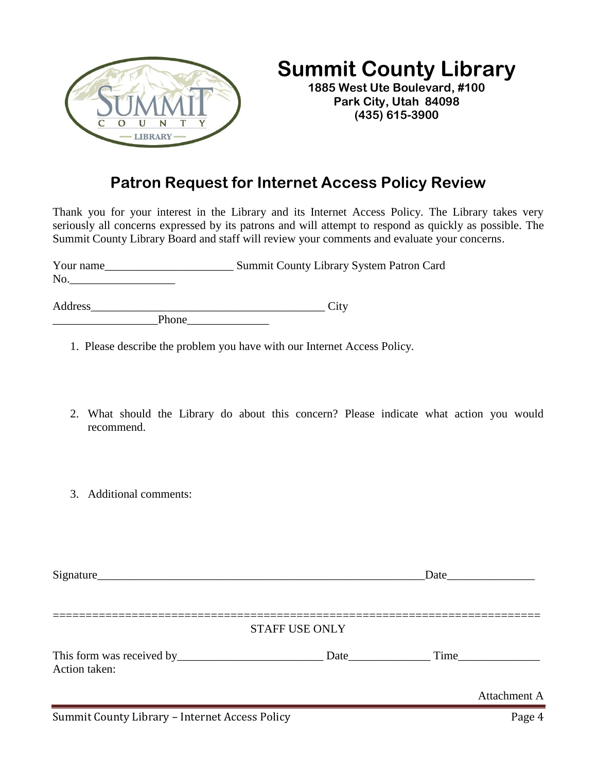

# **Summit County Library**

**1885 West Ute Boulevard, #100 Park City, Utah 84098 (435) 615-3900**

## **Patron Request for Internet Access Policy Review**

Thank you for your interest in the Library and its Internet Access Policy. The Library takes very seriously all concerns expressed by its patrons and will attempt to respond as quickly as possible. The Summit County Library Board and staff will review your comments and evaluate your concerns.

| Your name |       | Summit County Library System Patron Card |
|-----------|-------|------------------------------------------|
| No.       |       |                                          |
| Address   |       | City                                     |
|           | Phone |                                          |

1. Please describe the problem you have with our Internet Access Policy.

- 2. What should the Library do about this concern? Please indicate what action you would recommend.
- 3. Additional comments:

|               |                       | Date and the same state of the state of the state of the state of the state of the state of the state of the state of the state of the state of the state of the state of the state of the state of the state of the state of |
|---------------|-----------------------|-------------------------------------------------------------------------------------------------------------------------------------------------------------------------------------------------------------------------------|
|               | <b>STAFF USE ONLY</b> |                                                                                                                                                                                                                               |
| Action taken: | <b>Date</b>           |                                                                                                                                                                                                                               |
|               |                       | Attachment A                                                                                                                                                                                                                  |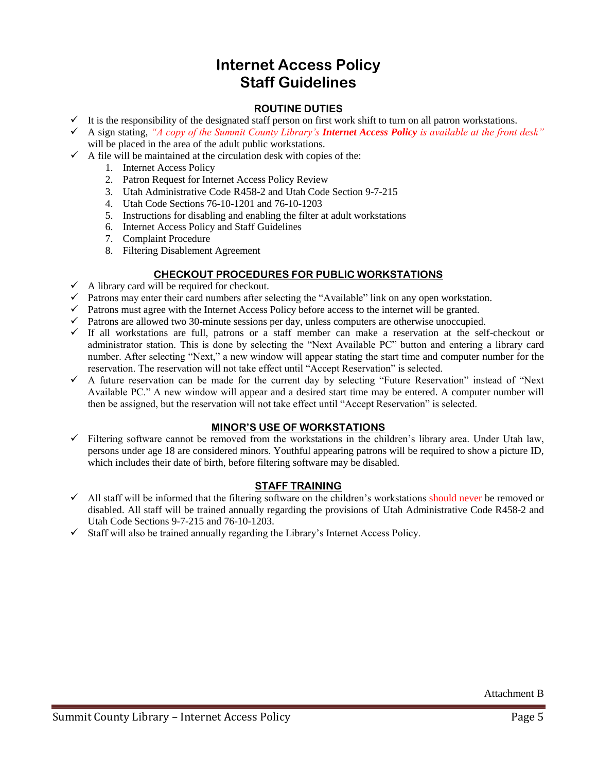## **Internet Access Policy Staff Guidelines**

#### **ROUTINE DUTIES**

- $\checkmark$  It is the responsibility of the designated staff person on first work shift to turn on all patron workstations.
- A sign stating, *"A copy of the Summit County Library's Internet Access Policy is available at the front desk"* will be placed in the area of the adult public workstations.
- $\checkmark$  A file will be maintained at the circulation desk with copies of the:
	- 1. Internet Access Policy
	- 2. Patron Request for Internet Access Policy Review
	- 3. Utah Administrative Code R458-2 and Utah Code Section 9-7-215
	- 4. Utah Code Sections 76-10-1201 and 76-10-1203
	- 5. Instructions for disabling and enabling the filter at adult workstations
	- 6. Internet Access Policy and Staff Guidelines
	- 7. Complaint Procedure
	- 8. Filtering Disablement Agreement

#### **CHECKOUT PROCEDURES FOR PUBLIC WORKSTATIONS**

- $\checkmark$  A library card will be required for checkout.
- $\checkmark$  Patrons may enter their card numbers after selecting the "Available" link on any open workstation.
- $\checkmark$  Patrons must agree with the Internet Access Policy before access to the internet will be granted.
- $\checkmark$  Patrons are allowed two 30-minute sessions per day, unless computers are otherwise unoccupied.
- $\checkmark$  If all workstations are full, patrons or a staff member can make a reservation at the self-checkout or administrator station. This is done by selecting the "Next Available PC" button and entering a library card number. After selecting "Next," a new window will appear stating the start time and computer number for the reservation. The reservation will not take effect until "Accept Reservation" is selected.
- A future reservation can be made for the current day by selecting "Future Reservation" instead of "Next Available PC." A new window will appear and a desired start time may be entered. A computer number will then be assigned, but the reservation will not take effect until "Accept Reservation" is selected.

#### **MINOR'S USE OF WORKSTATIONS**

 $\checkmark$  Filtering software cannot be removed from the workstations in the children's library area. Under Utah law, persons under age 18 are considered minors. Youthful appearing patrons will be required to show a picture ID, which includes their date of birth, before filtering software may be disabled.

#### **STAFF TRAINING**

- $\checkmark$  All staff will be informed that the filtering software on the children's workstations should never be removed or disabled. All staff will be trained annually regarding the provisions of Utah Administrative Code R458-2 and Utah Code Sections 9-7-215 and 76-10-1203.
- $\checkmark$  Staff will also be trained annually regarding the Library's Internet Access Policy.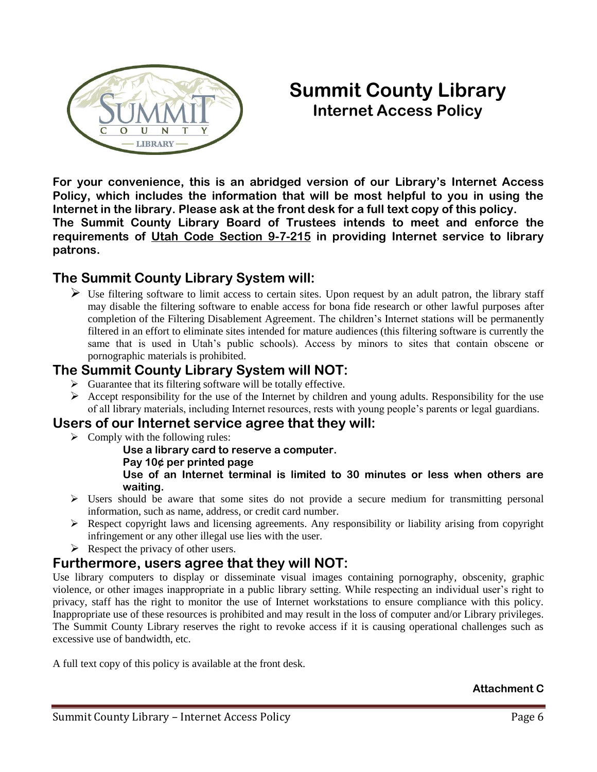

## **Summit County Library Internet Access Policy**

**For your convenience, this is an abridged version of our Library's Internet Access Policy, which includes the information that will be most helpful to you in using the Internet in the library. Please ask at the front desk for a full text copy of this policy. The Summit County Library Board of Trustees intends to meet and enforce the requirements of Utah Code Section 9-7-215 in providing Internet service to library patrons.**

## **The Summit County Library System will:**

 $\triangleright$  Use filtering software to limit access to certain sites. Upon request by an adult patron, the library staff may disable the filtering software to enable access for bona fide research or other lawful purposes after completion of the Filtering Disablement Agreement. The children's Internet stations will be permanently filtered in an effort to eliminate sites intended for mature audiences (this filtering software is currently the same that is used in Utah's public schools). Access by minors to sites that contain obscene or pornographic materials is prohibited.

## **The Summit County Library System will NOT:**

- $\triangleright$  Guarantee that its filtering software will be totally effective.
- $\triangleright$  Accept responsibility for the use of the Internet by children and young adults. Responsibility for the use of all library materials, including Internet resources, rests with young people's parents or legal guardians.

## **Users of our Internet service agree that they will:**

 $\triangleright$  Comply with the following rules:

**Use a library card to reserve a computer.**

**Pay 10¢ per printed page**

**Use of an Internet terminal is limited to 30 minutes or less when others are waiting.**

- $\triangleright$  Users should be aware that some sites do not provide a secure medium for transmitting personal information, such as name, address, or credit card number.
- $\triangleright$  Respect copyright laws and licensing agreements. Any responsibility or liability arising from copyright infringement or any other illegal use lies with the user.
- $\triangleright$  Respect the privacy of other users.

## **Furthermore, users agree that they will NOT:**

Use library computers to display or disseminate visual images containing pornography, obscenity, graphic violence, or other images inappropriate in a public library setting. While respecting an individual user's right to privacy, staff has the right to monitor the use of Internet workstations to ensure compliance with this policy. Inappropriate use of these resources is prohibited and may result in the loss of computer and/or Library privileges. The Summit County Library reserves the right to revoke access if it is causing operational challenges such as excessive use of bandwidth, etc.

A full text copy of this policy is available at the front desk.

**Attachment C**